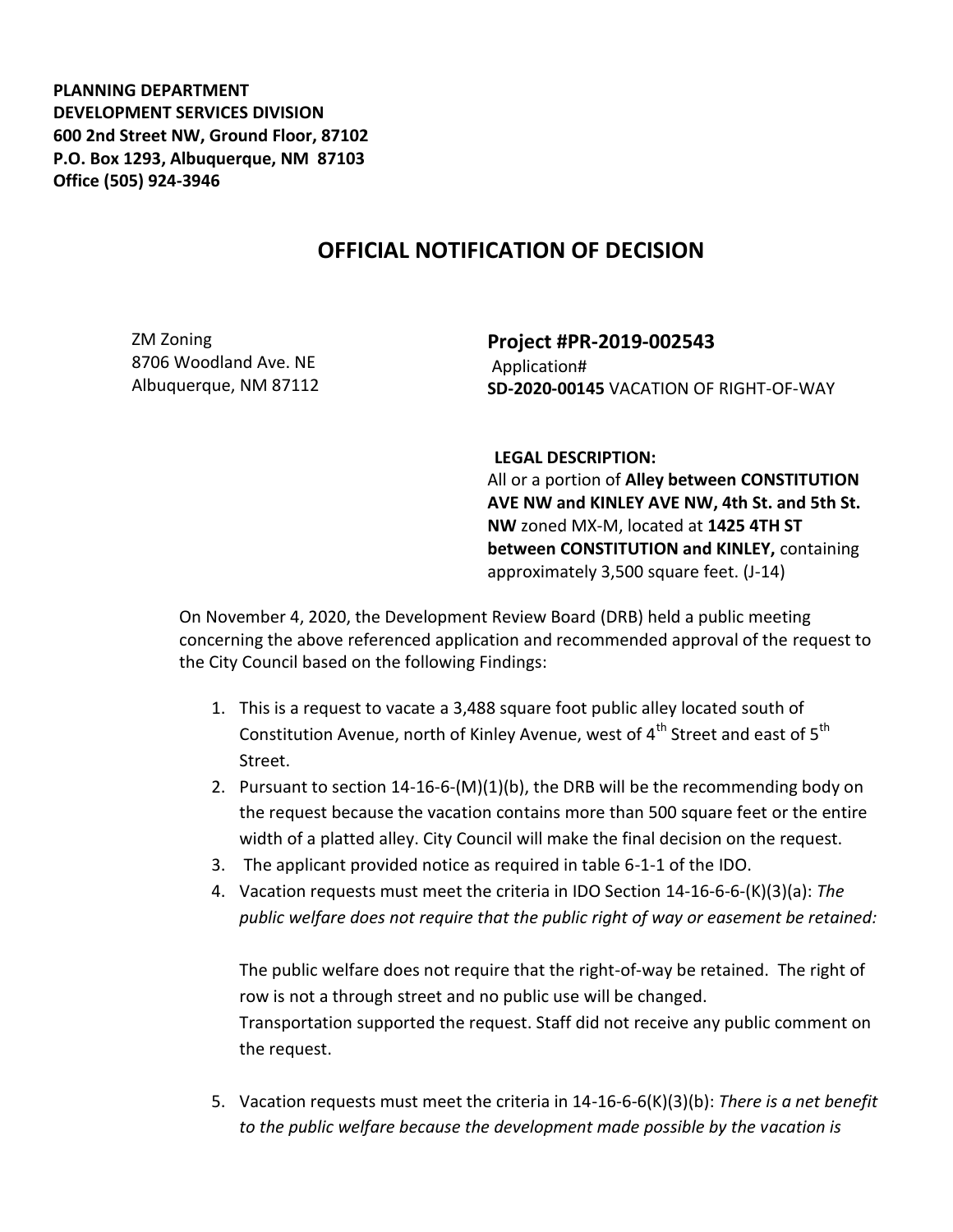**PLANNING DEPARTMENT DEVELOPMENT SERVICES DIVISION 600 2nd Street NW, Ground Floor, 87102 P.O. Box 1293, Albuquerque, NM 87103 Office (505) 924-3946** 

## **OFFICIAL NOTIFICATION OF DECISION**

ZM Zoning 8706 Woodland Ave. NE Albuquerque, NM 87112 **Project #PR-2019-002543** Application# **SD-2020-00145** VACATION OF RIGHT-OF-WAY

## **LEGAL DESCRIPTION:**

All or a portion of **Alley between CONSTITUTION AVE NW and KINLEY AVE NW, 4th St. and 5th St. NW** zoned MX-M, located at **1425 4TH ST between CONSTITUTION and KINLEY,** containing approximately 3,500 square feet. (J-14)

On November 4, 2020, the Development Review Board (DRB) held a public meeting concerning the above referenced application and recommended approval of the request to the City Council based on the following Findings:

- 1. This is a request to vacate a 3,488 square foot public alley located south of Constitution Avenue, north of Kinley Avenue, west of  $4<sup>th</sup>$  Street and east of  $5<sup>th</sup>$ Street.
- 2. Pursuant to section 14-16-6-(M)(1)(b), the DRB will be the recommending body on the request because the vacation contains more than 500 square feet or the entire width of a platted alley. City Council will make the final decision on the request.
- 3. The applicant provided notice as required in table 6-1-1 of the IDO.
- 4. Vacation requests must meet the criteria in IDO Section 14-16-6-6-(K)(3)(a): *The public welfare does not require that the public right of way or easement be retained:*

The public welfare does not require that the right-of-way be retained. The right of row is not a through street and no public use will be changed. Transportation supported the request. Staff did not receive any public comment on the request.

5. Vacation requests must meet the criteria in 14-16-6-6(K)(3)(b): *There is a net benefit to the public welfare because the development made possible by the vacation is*